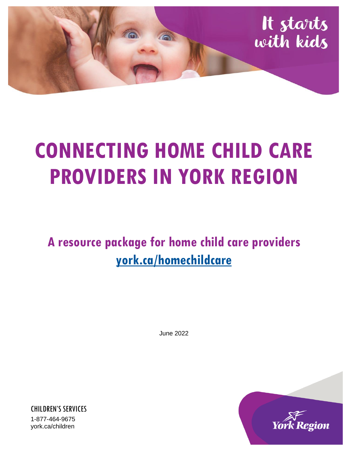

# **CONNECTING HOME CHILD CARE PROVIDERS IN YORK REGION**

**A resource package for home child care providers [york.ca/homechildcare](http://www.york.ca/homechildcare)**

June 2022

![](_page_0_Picture_4.jpeg)

CHILDREN'S SERVICES 1-877-464-9675 york.ca/children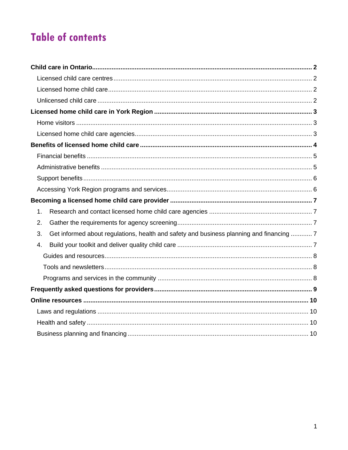# **Table of contents**

| 1. |                                                                                          |  |
|----|------------------------------------------------------------------------------------------|--|
| 2. |                                                                                          |  |
| 3. | Get informed about regulations, health and safety and business planning and financing  7 |  |
| 4. |                                                                                          |  |
|    |                                                                                          |  |
|    |                                                                                          |  |
|    |                                                                                          |  |
|    |                                                                                          |  |
|    |                                                                                          |  |
|    |                                                                                          |  |
|    |                                                                                          |  |
|    |                                                                                          |  |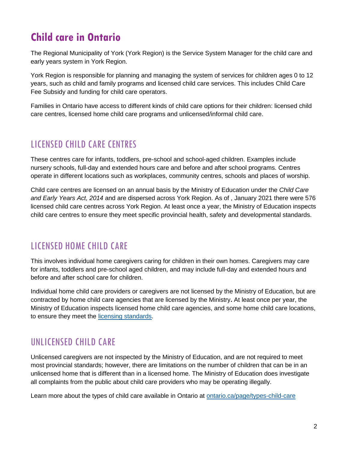# <span id="page-2-0"></span>**Child care in Ontario**

The Regional Municipality of York (York Region) is the Service System Manager for the child care and early years system in York Region.

York Region is responsible for planning and managing the system of services for children ages 0 to 12 years, such as child and family programs and licensed child care services. This includes Child Care Fee Subsidy and funding for child care operators.

Families in Ontario have access to different kinds of child care options for their children: licensed child care centres, licensed home child care programs and unlicensed/informal child care.

### <span id="page-2-1"></span>LICENSED CHILD CARE CENTRES

These centres care for infants, toddlers, pre-school and school-aged children. Examples include nursery schools, full-day and extended hours care and before and after school programs. Centres operate in different locations such as workplaces, community centres, schools and places of worship.

Child care centres are licensed on an annual basis by the Ministry of Education under the *Child Care and Early Years Act, 2014* and are dispersed across York Region. As of , January 2021 there were 576 licensed child care centres across York Region. At least once a year, the Ministry of Education inspects child care centres to ensure they meet specific provincial health, safety and developmental standards.

### <span id="page-2-2"></span>LICENSED HOME CHILD CARE

This involves individual home caregivers caring for children in their own homes. Caregivers may care for infants, toddlers and pre-school aged children, and may include full-day and extended hours and before and after school care for children.

Individual home child care providers or caregivers are not licensed by the Ministry of Education, but are contracted by home child care agencies that are licensed by the Ministry**.** At least once per year, the Ministry of Education inspects licensed home child care agencies, and some home child care locations, to ensure they meet the [licensing standards.](https://www.ontario.ca/laws/regulation/150137)

### <span id="page-2-3"></span>UNLICENSED CHILD CARE

Unlicensed caregivers are not inspected by the Ministry of Education, and are not required to meet most provincial standards; however, there are limitations on the number of children that can be in an unlicensed home that is different than in a licensed home. The Ministry of Education does investigate all complaints from the public about child care providers who may be operating illegally.

Learn more about the types of child care available in Ontario at [ontario.ca/page/types-child-care](https://www.ontario.ca/page/types-child-care)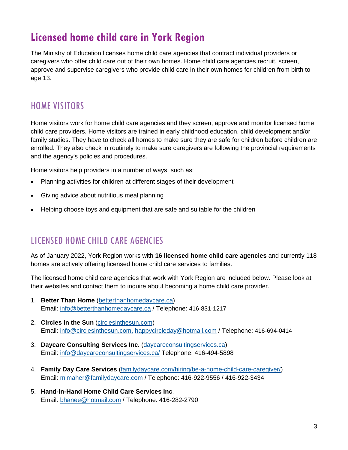## <span id="page-3-0"></span>**Licensed home child care in York Region**

The Ministry of Education licenses home child care agencies that contract individual providers or caregivers who offer child care out of their own homes. Home child care agencies recruit, screen, approve and supervise caregivers who provide child care in their own homes for children from birth to age 13.

### <span id="page-3-1"></span>HOME VISITORS

Home visitors work for home child care agencies and they screen, approve and monitor licensed home child care providers. Home visitors are trained in early childhood education, child development and/or family studies. They have to check all homes to make sure they are safe for children before children are enrolled. They also check in routinely to make sure caregivers are following the provincial requirements and the agency's policies and procedures.

Home visitors help providers in a number of ways, such as:

- Planning activities for children at different stages of their development
- Giving advice about nutritious meal planning
- Helping choose toys and equipment that are safe and suitable for the children

### <span id="page-3-2"></span>LICENSED HOME CHILD CARE AGENCIES

As of January 2022, York Region works with **16 licensed home child care agencies** and currently 118 homes are actively offering licensed home child care services to families.

The licensed home child care agencies that work with York Region are included below. Please look at their websites and contact them to inquire about becoming a home child care provider.

- 1. **Better Than Home** [\(betterthanhomedaycare.ca\)](https://www.betterthanhomedaycare.ca/) Email: [info@betterthanhomedaycare.ca](mailto:info@betterthanhomedaycare.ca) / Telephone: 416-831-1217
- 2. **Circles in the Sun** [\(circlesinthesun.com\)](https://circlesinthesun.com/) Email: [info@circlesinthesun.com,](mailto:info@circlesinthesun.com) [happycircleday@hotmail.com](mailto:happycircleday@hotmail.com) / Telephone: 416-694-0414
- 3. **Daycare Consulting Services Inc.** [\(daycareconsultingservices.ca\)](http://www.daycareconsultingservices.ca/) Email: [info@daycareconsultingservices.ca/](mailto:info@daycareconsultingservices.ca/) Telephone: 416-494-5898
- 4. **Family Day Care Services** [\(familydaycare.com/hiring/be-a-home-child-care-caregiver/\)](https://familydaycare.com/hiring/be-a-home-child-care-caregiver/) Email: [mlmaher@familydaycare.com](mailto:mlmaher@familydaycare.com) / Telephone: 416-922-9556 / [416-922-3434](tel:416-922-3434)
- 5. **Hand-in-Hand Home Child Care Services Inc**. Email: [bhanee@hotmail.com](mailto:bhanee@hotmail.com) / Telephone: 416-282-2790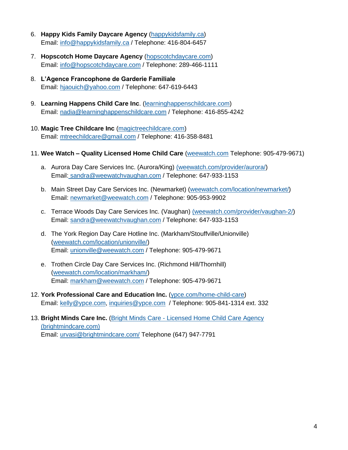- 6. **Happy Kids Family Daycare Agency** [\(happykidsfamily.ca\)](https://happykidsfamily.ca/) Email: [info@happykidsfamily.ca](mailto:info@happykidsfamily.ca) / Telephone: 416-804-6457
- 7. **Hopscotch Home Daycare Agency** [\(hopscotchdaycare.com\)](http://www.hopscotchdaycare.com/) Email: [info@hopscotchdaycare.com](mailto:info@hopscotchdaycare.com) / Telephone: 289-466-1111
- 8. **L'Agence Francophone de Garderie Familiale**  Email: [hjaouich@yahoo.com](mailto:hjaouich@yahoo.com) / Telephone: 647-619-6443
- 9. **Learning Happens Child Care Inc**. [\(learninghappenschildcare.com\)](http://www.learninghappenschildcare.com/) Email: [nadia@learninghappenschildcare.com](mailto:nadia@learninghappenschildcare.com) / Telephone: 416-855-4242
- 10. **Magic Tree Childcare Inc** [\(magictreechildcare.com\)](https://www.magictreechildcare.com/) Email: [mtreechildcare@gmail.com](mailto:mtreechildcare@gmail.com) / Telephone: 416-358-8481
- 11. **Wee Watch – Quality Licensed Home Child Care** [\(weewatch.com](https://www.weewatch.com/) Telephone: 905-479-9671)
	- a. Aurora Day Care Services Inc. (Aurora/King) [\(weewatch.com/provider/aurora/\)](https://www.weewatch.com/provider/aurora/) Email: [sandra@weewatchvaughan.com](mailto:sandra@weewatchvaughan.com) / Telephone: 647-933-1153
	- b. Main Street Day Care Services Inc. (Newmarket) [\(weewatch.com/location/newmarket/\)](https://www.weewatch.com/location/newmarket/) Email: [newmarket@weewatch.com](mailto:newmarket@weewatch.com) / Telephone: 905-953-9902
	- c. Terrace Woods Day Care Services Inc. (Vaughan) [\(weewatch.com/provider/vaughan-2/\)](https://www.weewatch.com/provider/vaughan-2/) Email: [sandra@weewatchvaughan.com](mailto:sandra@weewatchvaughan.com) / Telephone: 647-933-1153
	- d. The York Region Day Care Hotline Inc. (Markham/Stouffville/Unionville) [\(weewatch.com/location/unionville/\)](https://www.weewatch.com/location/unionville/) Email: [unionville@weewatch.com](mailto:unionville@weewatch.com) / Telephone: 905-479-9671
	- e. Trothen Circle Day Care Services Inc. (Richmond Hill/Thornhill) [\(weewatch.com/location/markham/\)](https://www.weewatch.com/location/markham/) Email: [markham@weewatch.com](mailto:markham@weewatch.com) / Telephone: 905-479-9671
- 12. **York Professional Care and Education Inc.** [\(ypce.com/home-child-care\)](https://www.ypce.com/home-child-care/) Email: [kelly@ypce.com,](mailto:kelly@ypce.com) [inquiries@ypce.com](mailto:heather@ypce.com) / Telephone: 905-841-1314 ext. 332
- <span id="page-4-0"></span>13. **Bright Minds Care Inc.** (Bright Minds Care - [Licensed Home Child Care Agency](https://brightmindcare.com/)  [\(brightmindcare.com\)](https://brightmindcare.com/) Email: [urvasi@brightmindcare.com/](mailto:urvasi@brightmindcare.com/) Telephone (647) 947-7791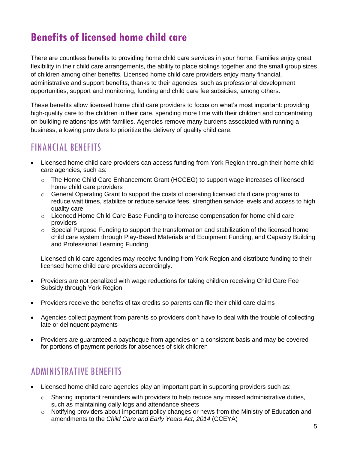# **Benefits of licensed home child care**

There are countless benefits to providing home child care services in your home. Families enjoy great flexibility in their child care arrangements, the ability to place siblings together and the small group sizes of children among other benefits. Licensed home child care providers enjoy many financial, administrative and support benefits, thanks to their agencies, such as professional development opportunities, support and monitoring, funding and child care fee subsidies, among others.

These benefits allow licensed home child care providers to focus on what's most important: providing high-quality care to the children in their care, spending more time with their children and concentrating on building relationships with families. Agencies remove many burdens associated with running a business, allowing providers to prioritize the delivery of quality child care.

### <span id="page-5-0"></span>FINANCIAL BENEFITS

- Licensed home child care providers can access funding from York Region through their home child care agencies, such as:
	- $\circ$  The Home Child Care Enhancement Grant (HCCEG) to support wage increases of licensed home child care providers
	- o General Operating Grant to support the costs of operating licensed child care programs to reduce wait times, stabilize or reduce service fees, strengthen service levels and access to high quality care
	- $\circ$  Licenced Home Child Care Base Funding to increase compensation for home child care providers
	- $\circ$  Special Purpose Funding to support the transformation and stabilization of the licensed home child care system through Play-Based Materials and Equipment Funding, and Capacity Building and Professional Learning Funding

Licensed child care agencies may receive funding from York Region and distribute funding to their licensed home child care providers accordingly.

- Providers are not penalized with wage reductions for taking children receiving Child Care Fee Subsidy through York Region
- Providers receive the benefits of tax credits so parents can file their child care claims
- Agencies collect payment from parents so providers don't have to deal with the trouble of collecting late or delinquent payments
- Providers are guaranteed a paycheque from agencies on a consistent basis and may be covered for portions of payment periods for absences of sick children

### <span id="page-5-1"></span>ADMINISTRATIVE BENEFITS

- Licensed home child care agencies play an important part in supporting providers such as:
	- $\circ$  Sharing important reminders with providers to help reduce any missed administrative duties, such as maintaining daily logs and attendance sheets
	- $\circ$  Notifying providers about important policy changes or news from the Ministry of Education and amendments to the *Child Care and Early Years Act, 2014* (CCEYA)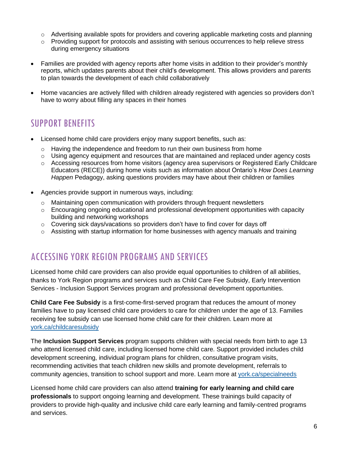- $\circ$  Advertising available spots for providers and covering applicable marketing costs and planning
- $\circ$  Providing support for protocols and assisting with serious occurrences to help relieve stress during emergency situations
- Families are provided with agency reports after home visits in addition to their provider's monthly reports, which updates parents about their child's development. This allows providers and parents to plan towards the development of each child collaboratively
- Home vacancies are actively filled with children already registered with agencies so providers don't have to worry about filling any spaces in their homes

### <span id="page-6-0"></span>SUPPORT BENEFITS

- Licensed home child care providers enjoy many support benefits, such as:
	- $\circ$  Having the independence and freedom to run their own business from home
	- $\circ$  Using agency equipment and resources that are maintained and replaced under agency costs
	- $\circ$  Accessing resources from home visitors (agency area supervisors or Registered Early Childcare Educators (RECE)) during home visits such as information about Ontario's *How Does Learning Happen* Pedagogy, asking questions providers may have about their children or families
- Agencies provide support in numerous ways, including:
	- o Maintaining open communication with providers through frequent newsletters
	- $\circ$  Encouraging ongoing educational and professional development opportunities with capacity building and networking workshops
	- $\circ$  Covering sick days/vacations so providers don't have to find cover for days off
	- o Assisting with startup information for home businesses with agency manuals and training

#### <span id="page-6-1"></span>ACCESSING YORK REGION PROGRAMS AND SERVICES

Licensed home child care providers can also provide equal opportunities to children of all abilities, thanks to York Region programs and services such as Child Care Fee Subsidy, Early Intervention Services - Inclusion Support Services program and professional development opportunities.

**Child Care Fee Subsidy** is a first-come-first-served program that reduces the amount of money families have to pay licensed child care providers to care for children under the age of 13. Families receiving fee subsidy can use licensed home child care for their children. Learn more at [york.ca/childcaresubsidy](http://www.york.ca/childcaresubsidy) 

The **Inclusion Support Services** program supports children with special needs from birth to age 13 who attend licensed child care, including licensed home child care. Support provided includes child development screening, individual program plans for children, consultative program visits, recommending activities that teach children new skills and promote development, referrals to community agencies, transition to school support and more. Learn more at [york.ca/specialneeds](http://www.york.ca/specialneeds) 

Licensed home child care providers can also attend **training for early learning and child care professionals** to support ongoing learning and development. These trainings build capacity of providers to provide high-quality and inclusive child care early learning and family-centred programs and services.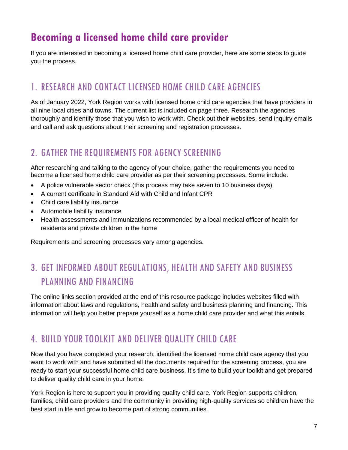# <span id="page-7-0"></span>**Becoming a licensed home child care provider**

If you are interested in becoming a licensed home child care provider, here are some steps to guide you the process.

### <span id="page-7-1"></span>1. RESEARCH AND CONTACT LICENSED HOME CHILD CARE AGENCIES

As of January 2022, York Region works with licensed home child care agencies that have providers in all nine local cities and towns. The current list is included on page three. Research the agencies thoroughly and identify those that you wish to work with. Check out their websites, send inquiry emails and call and ask questions about their screening and registration processes.

### <span id="page-7-2"></span>2. GATHER THE REQUIREMENTS FOR AGENCY SCREENING

After researching and talking to the agency of your choice, gather the requirements you need to become a licensed home child care provider as per their screening processes. Some include:

- A police vulnerable sector check (this process may take seven to 10 business days)
- A current certificate in Standard Aid with Child and Infant CPR
- Child care liability insurance
- Automobile liability insurance
- Health assessments and immunizations recommended by a local medical officer of health for residents and private children in the home

Requirements and screening processes vary among agencies.

## <span id="page-7-3"></span>3. GET INFORMED ABOUT REGULATIONS, HEALTH AND SAFETY AND BUSINESS PLANNING AND FINANCING

The online links section provided at the end of this resource package includes websites filled with information about laws and regulations, health and safety and business planning and financing. This information will help you better prepare yourself as a home child care provider and what this entails.

### <span id="page-7-4"></span>4. BUILD YOUR TOOLKIT AND DELIVER QUALITY CHILD CARE

Now that you have completed your research, identified the licensed home child care agency that you want to work with and have submitted all the documents required for the screening process, you are ready to start your successful home child care business. It's time to build your toolkit and get prepared to deliver quality child care in your home.

York Region is here to support you in providing quality child care. York Region supports children, families, child care providers and the community in providing high-quality services so children have the best start in life and grow to become part of strong communities.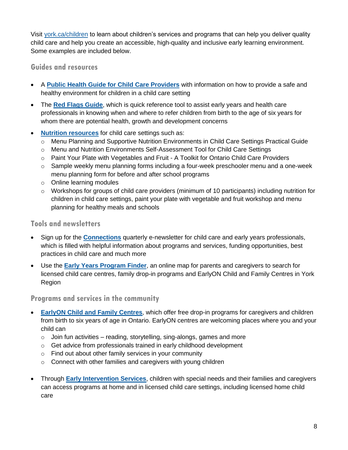Visit [york.ca/children](http://www.york.ca/children) to learn about children's services and programs that can help you deliver quality child care and help you create an accessible, high-quality and inclusive early learning environment. Some examples are included below.

#### <span id="page-8-0"></span>**Guides and resources**

- A **[Public Health Guide for Child Care Providers](https://www.york.ca/wps/wcm/connect/yorkpublic/c0059b01-7285-479b-a00a-afc8589e0a38/A+Public+Health+Guide+for+Child+Care+Providers.pdf?MOD=AJPERES&CVID=m.NEVnA)** with information on how to provide a safe and healthy environment for children in a child care setting
- The **[Red Flags Guide](https://www.york.ca/wps/wcm/connect/yorkpublic/054ca0a9-0027-46a3-b817-452890b3038b/Red+Flags+Guide.pdf?MOD=AJPERES&CVID=mWE8F1O)**, which is quick reference tool to assist early years and health care professionals in knowing when and where to refer children from birth to the age of six years for whom there are potential health, growth and development concerns
- **[Nutrition resources](https://www.york.ca/wps/portal/yorkhome/support/yr/childrensservices/nutritionforchildcarecentres/)** for child care settings such as:
	- o Menu Planning and Supportive Nutrition Environments in Child Care Settings Practical Guide
	- o Menu and Nutrition Environments Self-Assessment Tool for Child Care Settings
	- o Paint Your Plate with Vegetables and Fruit A Toolkit for Ontario Child Care Providers
	- $\circ$  Sample weekly menu planning forms including a four-week preschooler menu and a one-week menu planning form for before and after school programs
	- o Online learning modules
	- $\circ$  Workshops for groups of child care providers (minimum of 10 participants) including nutrition for children in child care settings, paint your plate with vegetable and fruit workshop and menu planning for healthy meals and schools

#### <span id="page-8-1"></span>**Tools and newsletters**

- Sign up for the **[Connections](https://us14.list-manage.com/subscribe?u=f702b066a3fb3b702a17a8e03&id=e13e99f63c)** quarterly e-newsletter for child care and early years professionals, which is filled with helpful information about programs and services, funding opportunities, best practices in child care and much more
- Use the **[Early Years Program Finder](https://ww6.yorkmaps.ca/Html5Viewer24/Index.html?viewer=ChildrensServices.YorkMaps)**, an online map for parents and caregivers to search for licensed child care centres, family drop-in programs and EarlyON Child and Family Centres in York Region

#### <span id="page-8-2"></span>**Programs and services in the community**

- **[EarlyON Child and Family Centres](http://www.york.ca/earlyon)**, which offer free drop-in programs for caregivers and children from birth to six years of age in Ontario. EarlyON centres are welcoming places where you and your child can
	- $\circ$  Join fun activities reading, storytelling, sing-alongs, games and more
	- o Get advice from professionals trained in early childhood development
	- o Find out about other family services in your community
	- o Connect with other families and caregivers with young children
- Through **[Early Intervention Services](http://www.york.ca/specialneeds)**, children with special needs and their families and caregivers can access programs at home and in licensed child care settings, including licensed home child care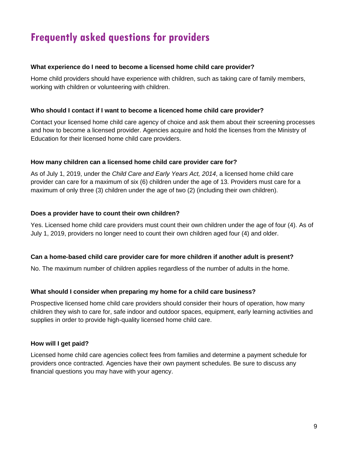# <span id="page-9-0"></span>**Frequently asked questions for providers**

#### **What experience do I need to become a licensed home child care provider?**

Home child providers should have experience with children, such as taking care of family members, working with children or volunteering with children.

#### **Who should I contact if I want to become a licenced home child care provider?**

Contact your licensed home child care agency of choice and ask them about their screening processes and how to become a licensed provider. Agencies acquire and hold the licenses from the Ministry of Education for their licensed home child care providers.

#### **How many children can a licensed home child care provider care for?**

As of July 1, 2019, under the *Child Care and Early Years Act, 2014*, a licensed home child care provider can care for a maximum of six (6) children under the age of 13. Providers must care for a maximum of only three (3) children under the age of two (2) (including their own children).

#### **Does a provider have to count their own children?**

Yes. Licensed home child care providers must count their own children under the age of four (4). As of July 1, 2019, providers no longer need to count their own children aged four (4) and older.

#### **Can a home-based child care provider care for more children if another adult is present?**

No. The maximum number of children applies regardless of the number of adults in the home.

#### **What should I consider when preparing my home for a child care business?**

Prospective licensed home child care providers should consider their hours of operation, how many children they wish to care for, safe indoor and outdoor spaces, equipment, early learning activities and supplies in order to provide high-quality licensed home child care.

#### **How will I get paid?**

Licensed home child care agencies collect fees from families and determine a payment schedule for providers once contracted. Agencies have their own payment schedules. Be sure to discuss any financial questions you may have with your agency.